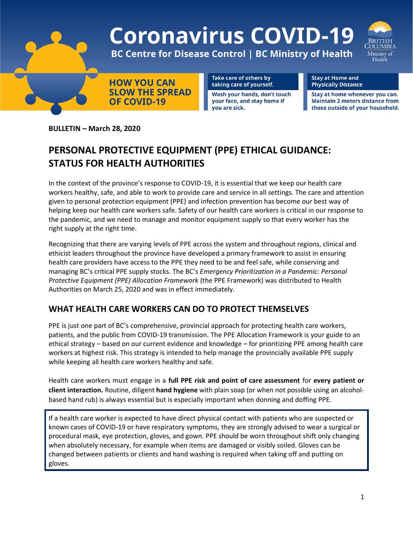

**BULLETIN – March 28, 2020**

## **PERSONAL PROTECTIVE EQUIPMENT (PPE) ETHICAL GUIDANCE: STATUS FOR HEALTH AUTHORITIES**

In the context of the province's response to COVID-19, it is essential that we keep our health care workers healthy, safe, and able to work to provide care and service in all settings. The care and attention given to personal protection equipment (PPE) and infection prevention has become our best way of helping keep our health care workers safe. Safety of our health care workers is critical in our response to the pandemic, and we need to manage and monitor equipment supply so that every worker has the right supply at the right time.

Recognizing that there are varying levels of PPE across the system and throughout regions, clinical and ethicist leaders throughout the province have developed a primary framework to assist in ensuring health care providers have access to the PPE they need to be and feel safe, while conserving and managing BC's critical PPE supply stocks. The BC's *Emergency Prioritization in a Pandemic: Personal Protective Equipment (PPE) Allocation Framework* (the PPE Framework) was distributed to Health Authorities on March 25, 2020 and was in effect immediately.

## **WHAT HEALTH CARE WORKERS CAN DO TO PROTECT THEMSELVES**

PPE is just one part of BC's comprehensive, provincial approach for protecting health care workers, patients, and the public from COVID-19 transmission. The PPE Allocation Framework is your guide to an ethical strategy – based on our current evidence and knowledge – for prioritizing PPE among health care workers at highest risk. This strategy is intended to help manage the provincially available PPE supply while keeping all health care workers healthy and safe.

Health care workers must engage in a **full PPE risk and point of care assessment** for **every patient or client interaction.** Routine, diligent **hand hygiene** with plain soap (or when not possible using an alcoholbased hand rub) is always essential but is especially important when donning and doffing PPE.

If a health care worker is expected to have direct physical contact with patients who are suspected or known cases of COVID-19 or have respiratory symptoms, they are strongly advised to wear a surgical or procedural mask, eye protection, gloves, and gown. PPE should be worn throughout shift only changing when absolutely necessary, for example when items are damaged or visibly soiled. Gloves can be changed between patients or clients and hand washing is required when taking off and putting on gloves.